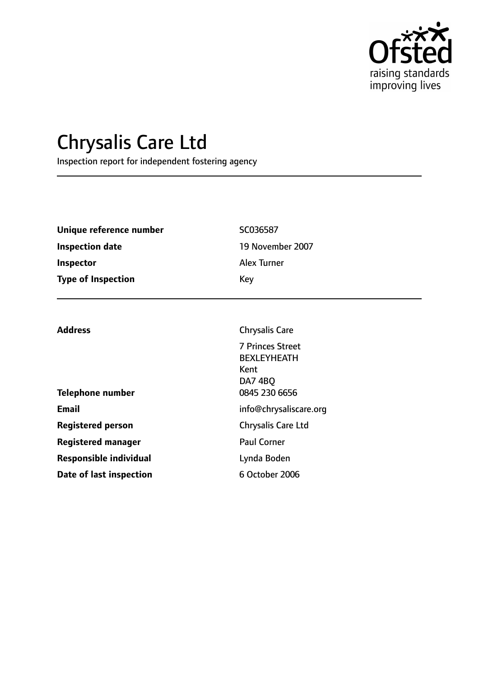

# Chrysalis Care Ltd

Inspection report for independent fostering agency

**Registered manager** Paul Corner

**Responsible individual** Lynda Boden

**Date of last inspection** 6 October 2006

| Unique reference number   | SC036587                                                         |  |
|---------------------------|------------------------------------------------------------------|--|
| <b>Inspection date</b>    | 19 November 2007                                                 |  |
| Inspector                 | <b>Alex Turner</b>                                               |  |
| <b>Type of Inspection</b> | Key                                                              |  |
|                           |                                                                  |  |
| <b>Address</b>            | <b>Chrysalis Care</b>                                            |  |
|                           | 7 Princes Street<br><b>BEXLEYHEATH</b><br>Kent<br><b>DA7 4BO</b> |  |
| <b>Telephone number</b>   | 0845 230 6656                                                    |  |
| <b>Email</b>              | info@chrysaliscare.org                                           |  |
| <b>Registered person</b>  | <b>Chrysalis Care Ltd</b>                                        |  |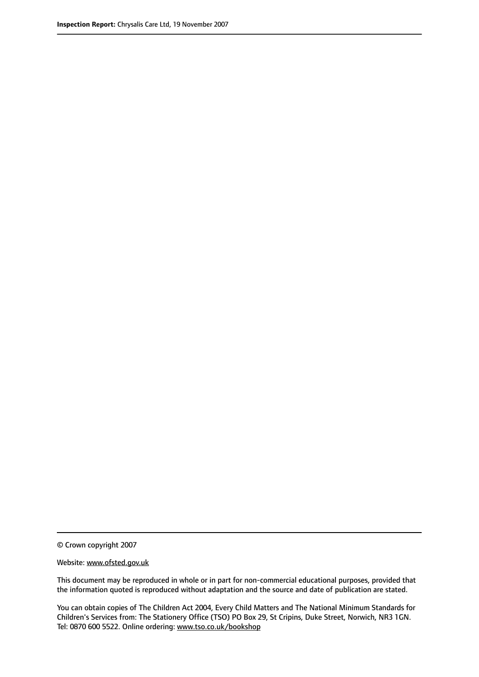© Crown copyright 2007

Website: www.ofsted.gov.uk

This document may be reproduced in whole or in part for non-commercial educational purposes, provided that the information quoted is reproduced without adaptation and the source and date of publication are stated.

You can obtain copies of The Children Act 2004, Every Child Matters and The National Minimum Standards for Children's Services from: The Stationery Office (TSO) PO Box 29, St Cripins, Duke Street, Norwich, NR3 1GN. Tel: 0870 600 5522. Online ordering: www.tso.co.uk/bookshop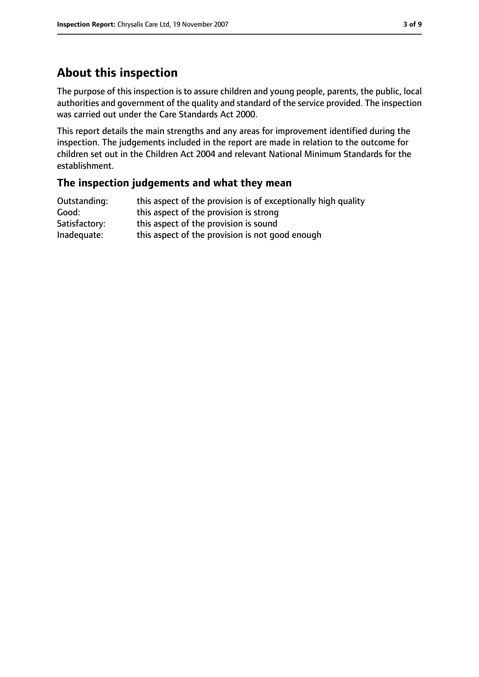# **About this inspection**

The purpose of this inspection is to assure children and young people, parents, the public, local authorities and government of the quality and standard of the service provided. The inspection was carried out under the Care Standards Act 2000.

This report details the main strengths and any areas for improvement identified during the inspection. The judgements included in the report are made in relation to the outcome for children set out in the Children Act 2004 and relevant National Minimum Standards for the establishment.

### **The inspection judgements and what they mean**

| Outstanding:  | this aspect of the provision is of exceptionally high quality |
|---------------|---------------------------------------------------------------|
| Good:         | this aspect of the provision is strong                        |
| Satisfactory: | this aspect of the provision is sound                         |
| Inadequate:   | this aspect of the provision is not good enough               |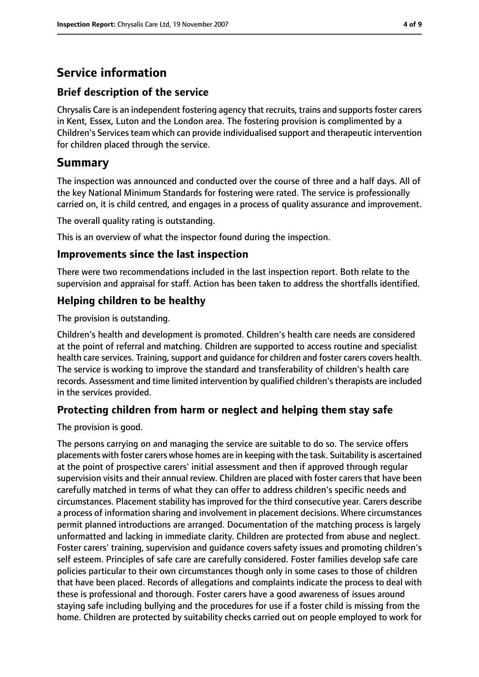# **Service information**

### **Brief description of the service**

Chrysalis Care is an independent fostering agency that recruits, trains and supports foster carers in Kent, Essex, Luton and the London area. The fostering provision is complimented by a Children's Services team which can provide individualised support and therapeutic intervention for children placed through the service.

# **Summary**

The inspection was announced and conducted over the course of three and a half days. All of the key National Minimum Standards for fostering were rated. The service is professionally carried on, it is child centred, and engages in a process of quality assurance and improvement.

The overall quality rating is outstanding.

This is an overview of what the inspector found during the inspection.

### **Improvements since the last inspection**

There were two recommendations included in the last inspection report. Both relate to the supervision and appraisal for staff. Action has been taken to address the shortfalls identified.

### **Helping children to be healthy**

The provision is outstanding.

Children's health and development is promoted. Children's health care needs are considered at the point of referral and matching. Children are supported to access routine and specialist health care services. Training, support and guidance for children and foster carers covers health. The service is working to improve the standard and transferability of children's health care records. Assessment and time limited intervention by qualified children's therapists are included in the services provided.

### **Protecting children from harm or neglect and helping them stay safe**

The provision is good.

The persons carrying on and managing the service are suitable to do so. The service offers placements with foster carers whose homes are in keeping with the task. Suitability is ascertained at the point of prospective carers' initial assessment and then if approved through regular supervision visits and their annual review. Children are placed with foster carers that have been carefully matched in terms of what they can offer to address children's specific needs and circumstances. Placement stability has improved for the third consecutive year. Carers describe a process of information sharing and involvement in placement decisions. Where circumstances permit planned introductions are arranged. Documentation of the matching process is largely unformatted and lacking in immediate clarity. Children are protected from abuse and neglect. Foster carers' training, supervision and guidance covers safety issues and promoting children's self esteem. Principles of safe care are carefully considered. Foster families develop safe care policies particular to their own circumstances though only in some cases to those of children that have been placed. Records of allegations and complaints indicate the process to deal with these is professional and thorough. Foster carers have a good awareness of issues around staying safe including bullying and the procedures for use if a foster child is missing from the home. Children are protected by suitability checks carried out on people employed to work for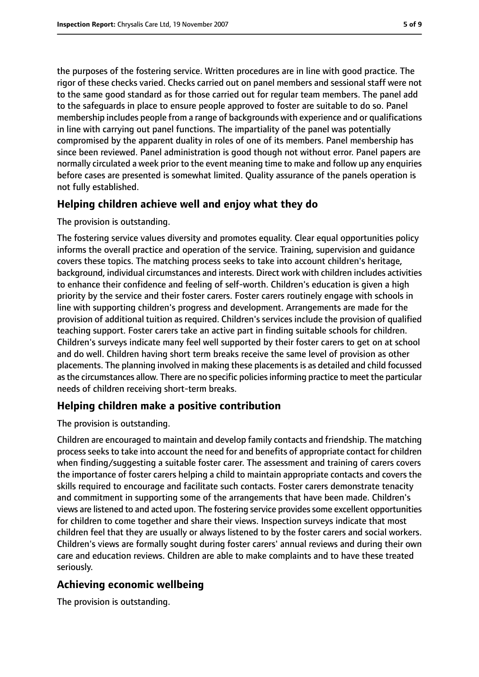the purposes of the fostering service. Written procedures are in line with good practice. The rigor of these checks varied. Checks carried out on panel members and sessional staff were not to the same good standard as for those carried out for regular team members. The panel add to the safeguards in place to ensure people approved to foster are suitable to do so. Panel membership includes people from a range of backgrounds with experience and or qualifications in line with carrying out panel functions. The impartiality of the panel was potentially compromised by the apparent duality in roles of one of its members. Panel membership has since been reviewed. Panel administration is good though not without error. Panel papers are normally circulated a week prior to the event meaning time to make and follow up any enquiries before cases are presented is somewhat limited. Quality assurance of the panels operation is not fully established.

## **Helping children achieve well and enjoy what they do**

#### The provision is outstanding.

The fostering service values diversity and promotes equality. Clear equal opportunities policy informs the overall practice and operation of the service. Training, supervision and guidance covers these topics. The matching process seeks to take into account children's heritage, background, individual circumstances and interests. Direct work with children includes activities to enhance their confidence and feeling of self-worth. Children's education is given a high priority by the service and their foster carers. Foster carers routinely engage with schools in line with supporting children's progress and development. Arrangements are made for the provision of additional tuition as required. Children's services include the provision of qualified teaching support. Foster carers take an active part in finding suitable schools for children. Children's surveys indicate many feel well supported by their foster carers to get on at school and do well. Children having short term breaks receive the same level of provision as other placements. The planning involved in making these placementsis as detailed and child focussed as the circumstances allow. There are no specific policies informing practice to meet the particular needs of children receiving short-term breaks.

## **Helping children make a positive contribution**

#### The provision is outstanding.

Children are encouraged to maintain and develop family contacts and friendship. The matching process seeks to take into account the need for and benefits of appropriate contact for children when finding/suggesting a suitable foster carer. The assessment and training of carers covers the importance of foster carers helping a child to maintain appropriate contacts and covers the skills required to encourage and facilitate such contacts. Foster carers demonstrate tenacity and commitment in supporting some of the arrangements that have been made. Children's views are listened to and acted upon. The fostering service provides some excellent opportunities for children to come together and share their views. Inspection surveys indicate that most children feel that they are usually or always listened to by the foster carers and social workers. Children's views are formally sought during foster carers' annual reviews and during their own care and education reviews. Children are able to make complaints and to have these treated seriously.

### **Achieving economic wellbeing**

The provision is outstanding.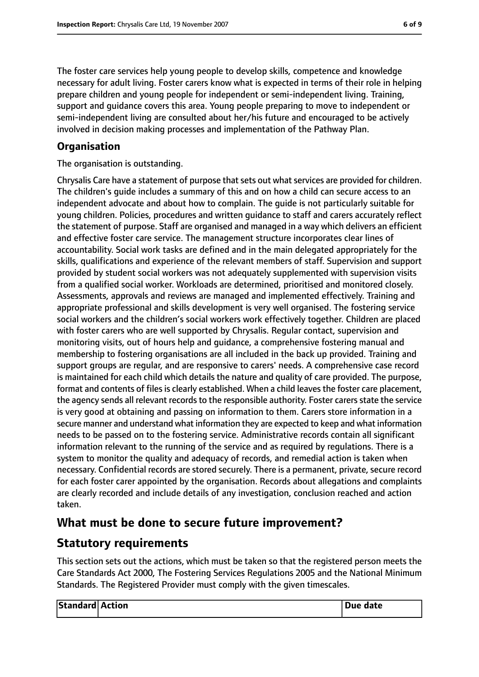The foster care services help young people to develop skills, competence and knowledge necessary for adult living. Foster carers know what is expected in terms of their role in helping prepare children and young people for independent or semi-independent living. Training, support and guidance covers this area. Young people preparing to move to independent or semi-independent living are consulted about her/his future and encouraged to be actively involved in decision making processes and implementation of the Pathway Plan.

### **Organisation**

The organisation is outstanding.

Chrysalis Care have a statement of purpose that sets out what services are provided for children. The children's guide includes a summary of this and on how a child can secure access to an independent advocate and about how to complain. The guide is not particularly suitable for young children. Policies, procedures and written guidance to staff and carers accurately reflect the statement of purpose. Staff are organised and managed in a way which delivers an efficient and effective foster care service. The management structure incorporates clear lines of accountability. Social work tasks are defined and in the main delegated appropriately for the skills, qualifications and experience of the relevant members of staff. Supervision and support provided by student social workers was not adequately supplemented with supervision visits from a qualified social worker. Workloads are determined, prioritised and monitored closely. Assessments, approvals and reviews are managed and implemented effectively. Training and appropriate professional and skills development is very well organised. The fostering service social workers and the children's social workers work effectively together. Children are placed with foster carers who are well supported by Chrysalis. Regular contact, supervision and monitoring visits, out of hours help and guidance, a comprehensive fostering manual and membership to fostering organisations are all included in the back up provided. Training and support groups are regular, and are responsive to carers' needs. A comprehensive case record is maintained for each child which details the nature and quality of care provided. The purpose, format and contents of files is clearly established. When a child leaves the foster care placement, the agency sends all relevant records to the responsible authority. Foster carers state the service is very good at obtaining and passing on information to them. Carers store information in a secure manner and understand what information they are expected to keep and what information needs to be passed on to the fostering service. Administrative records contain all significant information relevant to the running of the service and as required by regulations. There is a system to monitor the quality and adequacy of records, and remedial action is taken when necessary. Confidential records are stored securely. There is a permanent, private, secure record for each foster carer appointed by the organisation. Records about allegations and complaints are clearly recorded and include details of any investigation, conclusion reached and action taken.

# **What must be done to secure future improvement?**

# **Statutory requirements**

This section sets out the actions, which must be taken so that the registered person meets the Care Standards Act 2000, The Fostering Services Regulations 2005 and the National Minimum Standards. The Registered Provider must comply with the given timescales.

| <b>Standard Action</b> | Due date |
|------------------------|----------|
|                        |          |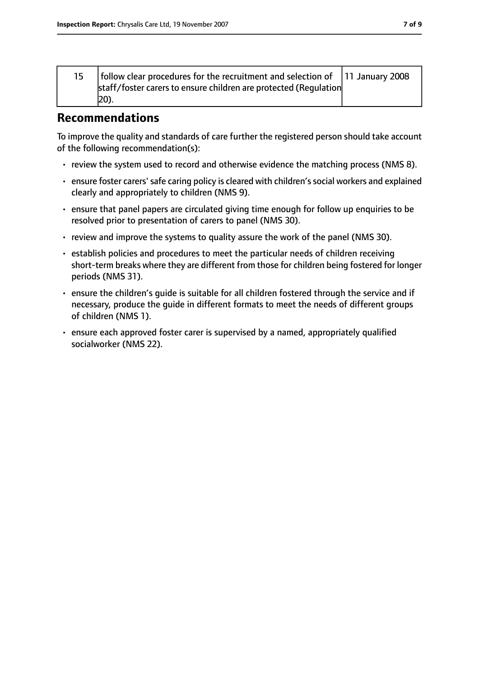| 15 | follow clear procedures for the recruitment and selection of $\begin{array}{ l l l }\n\end{array}$ 11 January 2008 |  |
|----|--------------------------------------------------------------------------------------------------------------------|--|
|    | 20).                                                                                                               |  |

# **Recommendations**

To improve the quality and standards of care further the registered person should take account of the following recommendation(s):

- review the system used to record and otherwise evidence the matching process (NMS 8).
- ensure foster carers' safe caring policy is cleared with children's social workers and explained clearly and appropriately to children (NMS 9).
- ensure that panel papers are circulated giving time enough for follow up enquiries to be resolved prior to presentation of carers to panel (NMS 30).
- review and improve the systems to quality assure the work of the panel (NMS 30).
- establish policies and procedures to meet the particular needs of children receiving short-term breaks where they are different from those for children being fostered for longer periods (NMS 31).
- ensure the children's guide is suitable for all children fostered through the service and if necessary, produce the guide in different formats to meet the needs of different groups of children (NMS 1).
- ensure each approved foster carer is supervised by a named, appropriately qualified socialworker (NMS 22).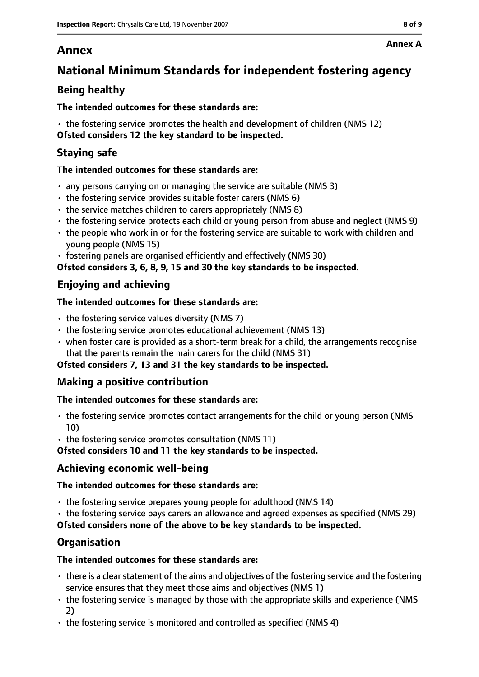# **Annex**

# **National Minimum Standards for independent fostering agency**

# **Being healthy**

### **The intended outcomes for these standards are:**

• the fostering service promotes the health and development of children (NMS 12) **Ofsted considers 12 the key standard to be inspected.**

# **Staying safe**

### **The intended outcomes for these standards are:**

- any persons carrying on or managing the service are suitable (NMS 3)
- the fostering service provides suitable foster carers (NMS 6)
- the service matches children to carers appropriately (NMS 8)
- the fostering service protects each child or young person from abuse and neglect (NMS 9)
- the people who work in or for the fostering service are suitable to work with children and young people (NMS 15)
- fostering panels are organised efficiently and effectively (NMS 30)

**Ofsted considers 3, 6, 8, 9, 15 and 30 the key standards to be inspected.**

## **Enjoying and achieving**

### **The intended outcomes for these standards are:**

- $\cdot$  the fostering service values diversity (NMS 7)
- the fostering service promotes educational achievement (NMS 13)
- when foster care is provided as a short-term break for a child, the arrangements recognise that the parents remain the main carers for the child (NMS 31)

### **Ofsted considers 7, 13 and 31 the key standards to be inspected.**

## **Making a positive contribution**

### **The intended outcomes for these standards are:**

- the fostering service promotes contact arrangements for the child or young person (NMS 10)
- the fostering service promotes consultation (NMS 11)

**Ofsted considers 10 and 11 the key standards to be inspected.**

## **Achieving economic well-being**

### **The intended outcomes for these standards are:**

- the fostering service prepares young people for adulthood (NMS 14)
- the fostering service pays carers an allowance and agreed expenses as specified (NMS 29)

**Ofsted considers none of the above to be key standards to be inspected.**

## **Organisation**

### **The intended outcomes for these standards are:**

- $\cdot$  there is a clear statement of the aims and objectives of the fostering service and the fostering service ensures that they meet those aims and objectives (NMS 1)
- the fostering service is managed by those with the appropriate skills and experience (NMS 2)
- the fostering service is monitored and controlled as specified (NMS 4)